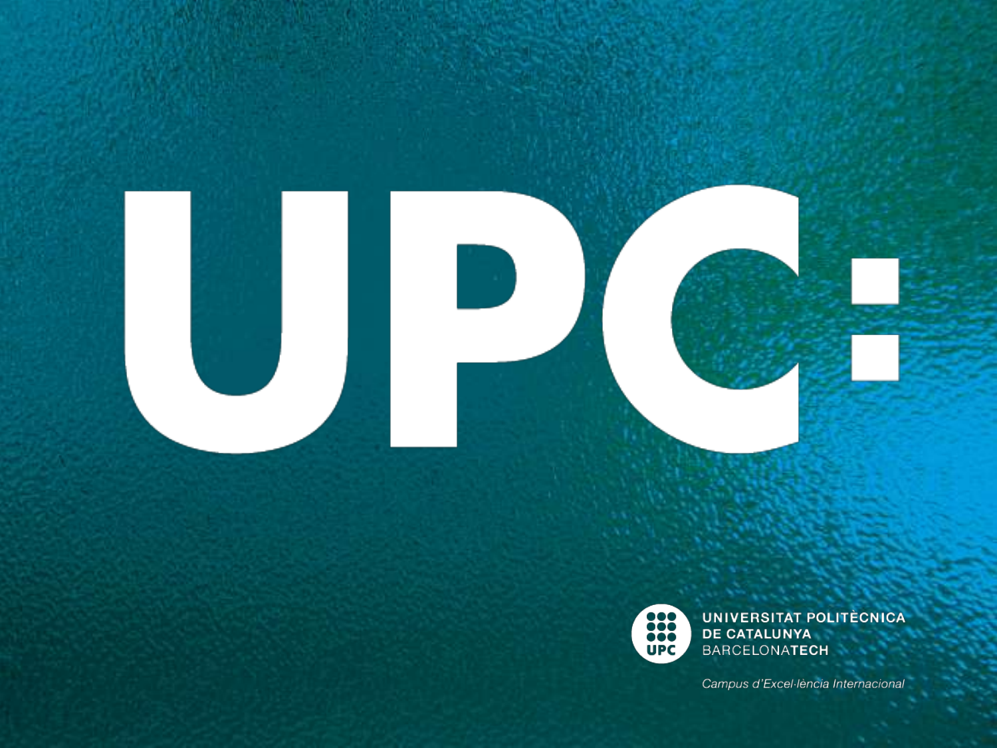

UNIVERSITAT POLITÈCNICA<br>DE CATALUNYA<br>BARCELONATECH

Campus d'Excel·lència Internacional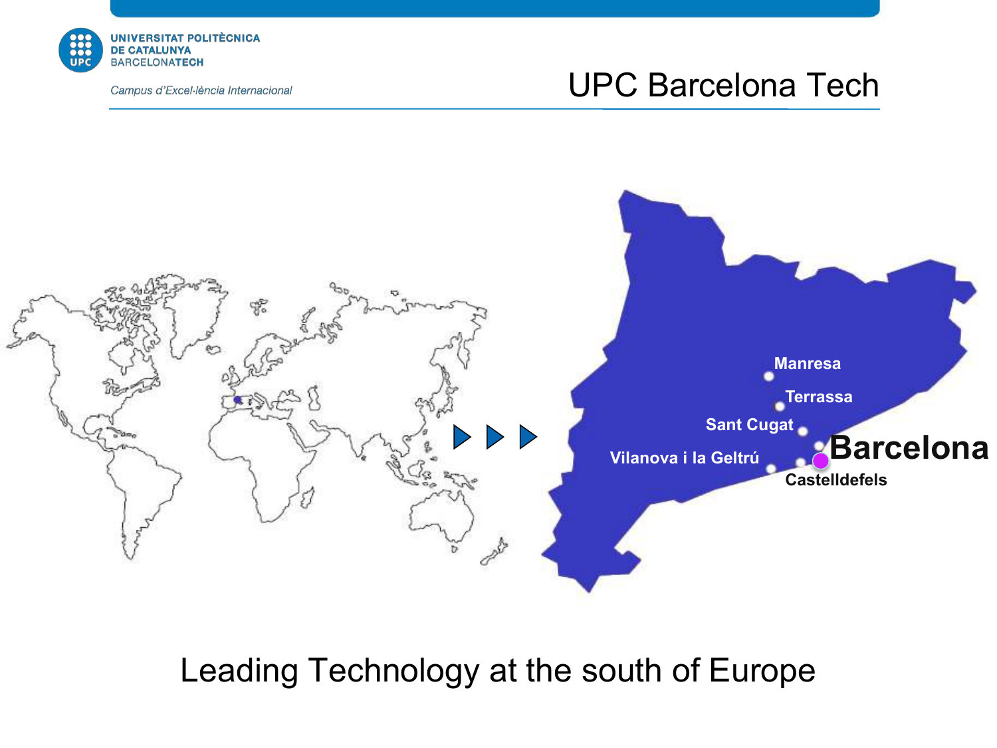

#### UPC Barcelona Tech



Leading Technology at the south of Europe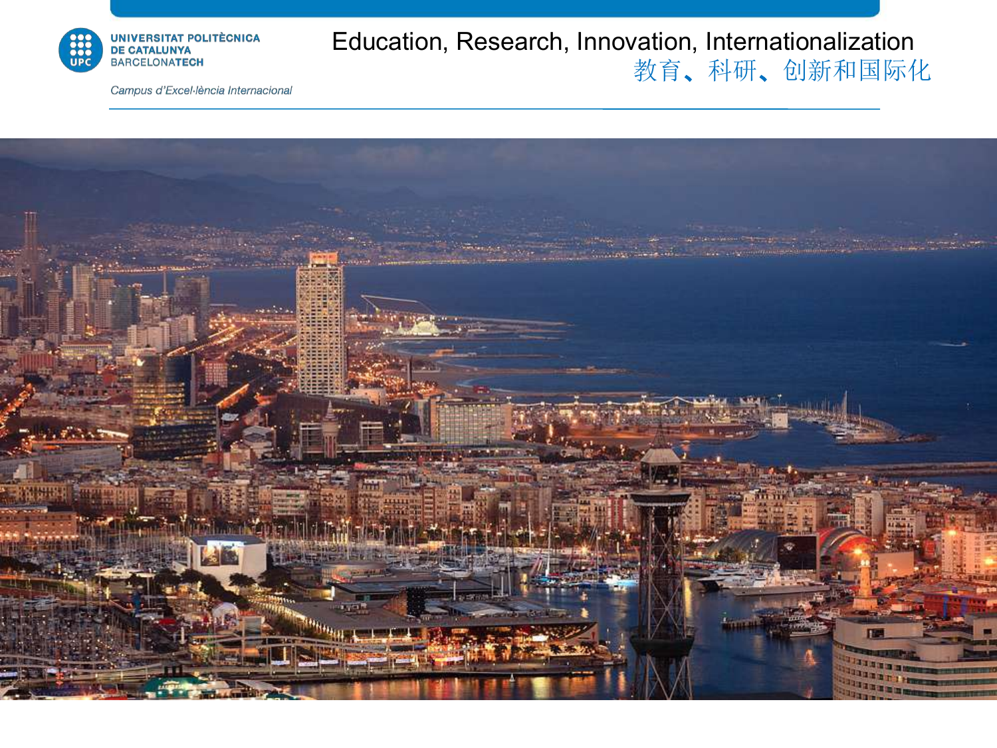

#### Education, Research, Innovation, Internationalization 教育、科研、创新和国际化

Campus d'Excel·lència Internacional

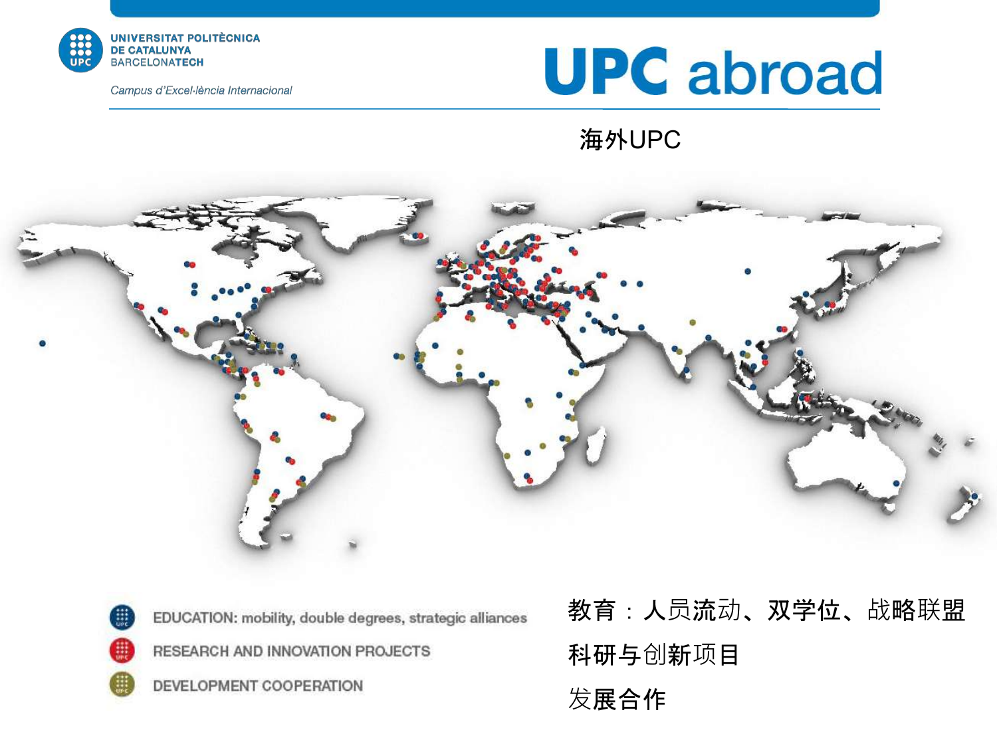



#### 海外UPC





EDUCATION: mobility, double degrees, strategic alliances

RESEARCH AND INNOVATION PROJECTS

DEVELOPMENT COOPERATION

教育:人员流动、双学位、战略联盟 科研与创新项目

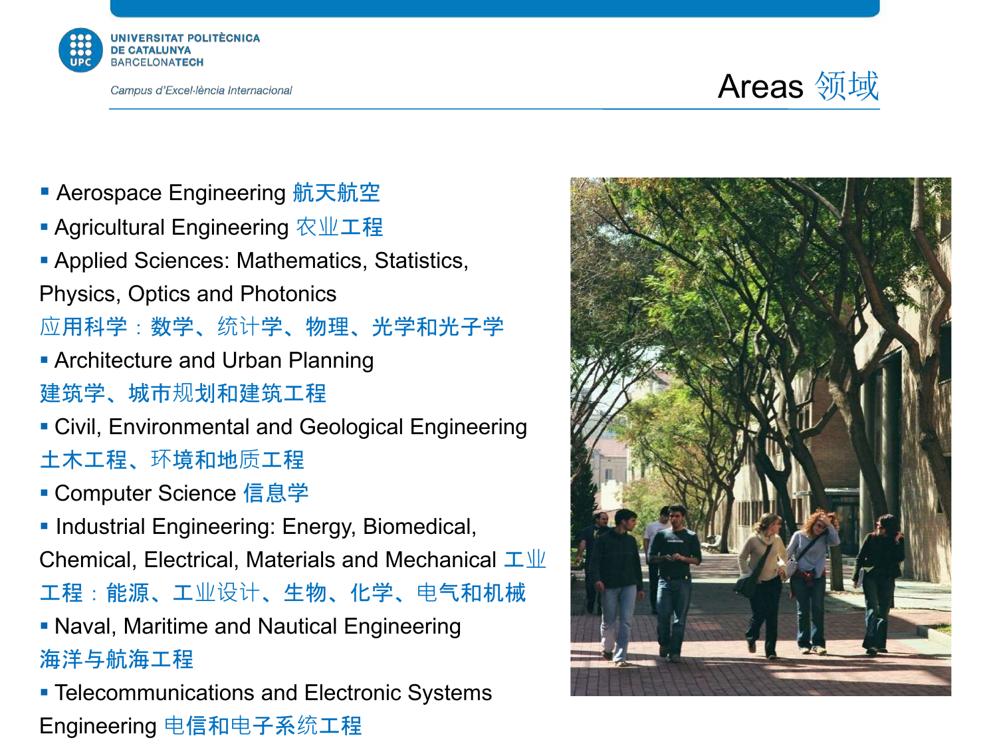



- Aerospace Engineering 航天航空
- Agricultural Engineering 农业工程
- Applied Sciences: Mathematics, Statistics,
- Physics, Optics and Photonics
- 应用科学:数学、统计学、物理、光学和光子学
- § Architecture and Urban Planning 建筑学、城市规划和建筑工程
- Civil, Environmental and Geological Engineering 土木工程、环境和地质工程
- Computer Science 信息学
- Industrial Engineering: Energy, Biomedical,
- Chemical, Electrical, Materials and Mechanical  $I\!\!\perp\!\!\!\perp\!\!\!\perp\!\!\!\perp\!\!\!\perp\!\!\!\perp\!\!\!\perp\!\!\!\perp\!\!\!\perp\!\!\!\perp\!\!\!\perp\!\!\!\perp\!\!\!\perp\!\!\!\perp\!\!\!\perp\!\!\!\perp\!\!\!\perp\!\!\!\perp\!\!\!\perp\!\!\!\perp\!\!\!\perp\!\!\!\perp\!\!\!\perp\!\!\!\perp\!\!\!\perp\!\!\!\perp\!\!\!\perp\!\!\!\perp\!\!\!\per$
- 工程:能源、工业设计、生物、化学、电气和机械

• Naval, Maritime and Nautical Engineering 海洋与航海工程

**• Telecommunications and Electronic Systems** Engineering 电信和电子系统工程

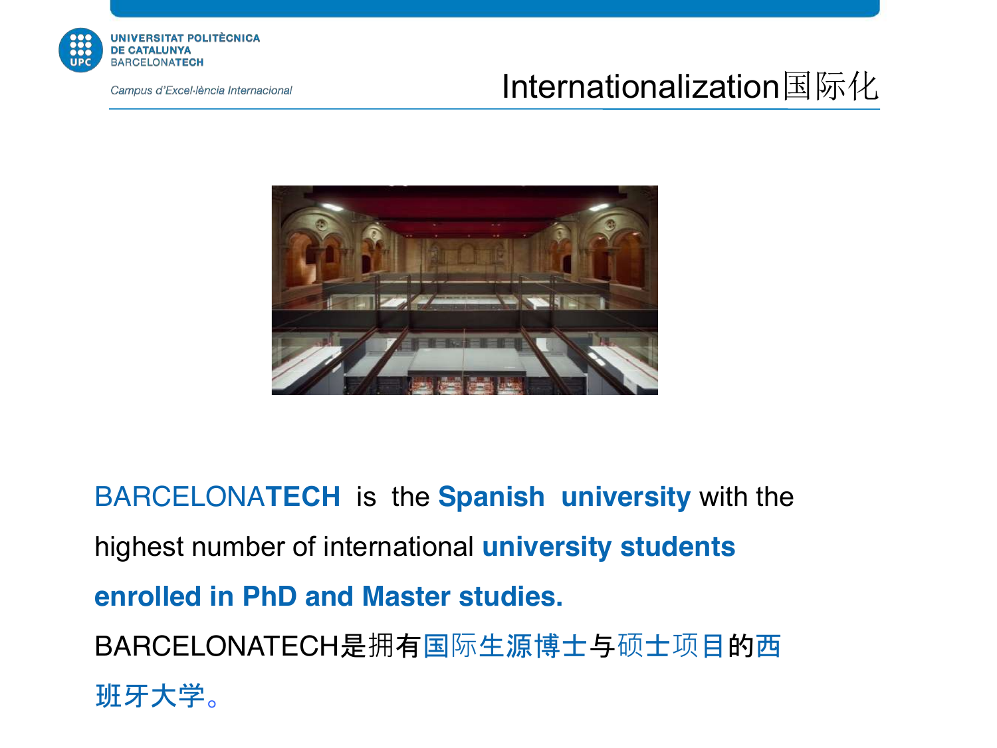

### Internationalization国际化



BARCELONA**TECH** is the **Spanish university** with the highest number of international **university students enrolled in PhD and Master studies.** BARCELONATECH是拥有国际生源博士与硕士项目的西

班牙大学。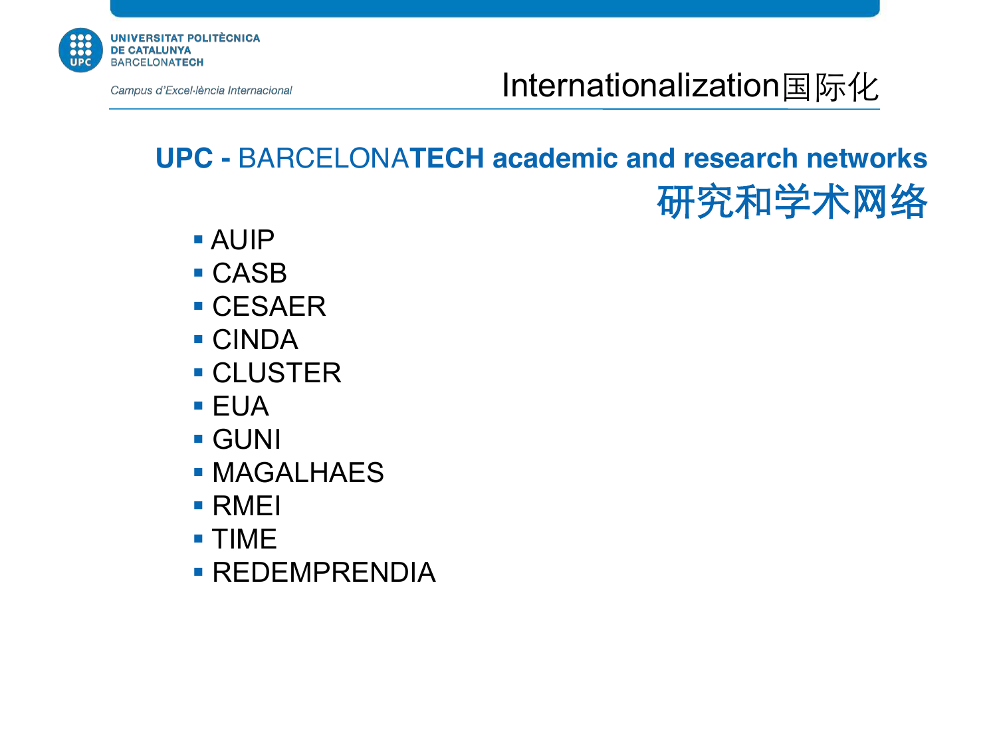

Internationalization国际化

### **UPC -** BARCELONA**TECH academic and research networks** 研究和学术网络

- § AUIP
- § CASB
- CESAER
- § CINDA
- CLUSTER
- $\blacksquare$  EUA
- § GUNI
- § MAGALHAES
- § RMEI
- § TIME
- § REDEMPRENDIA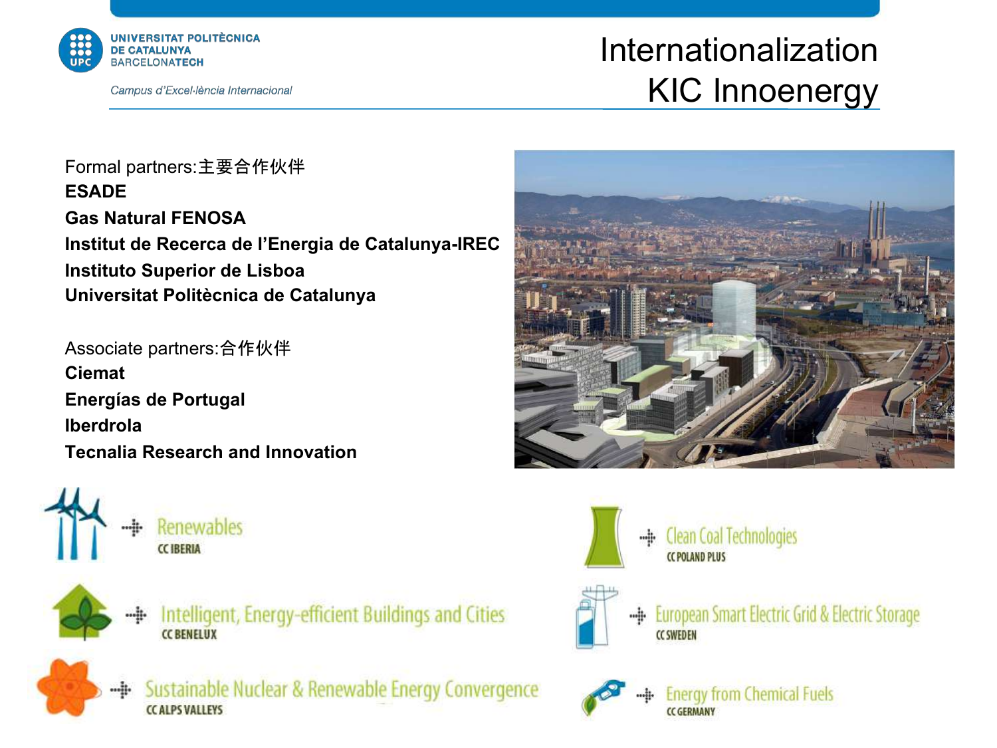

### Internationalization KIC Innoenergy

Formal partners:主要合作伙伴 **ESADE Gas Natural FENOSA Institut de Recerca de l'Energia de Catalunya-IREC Instituto Superior de Lisboa Universitat Politècnica de Catalunya**

Associate partners:合作伙伴 **Ciemat Energías de Portugal Iberdrola Tecnalia Research and Innovation**





Intelligent, Energy-efficient Buildings and Cities **CC BENELUX** 



Sustainable Nuclear & Renewable Energy Convergence CC ALPS VALLEYS





**Clean Coal Technologies CC POLAND PLUS** 



European Smart Electric Grid & Electric Storage ...<u>i</u>. **CC SWEDEN** 



**Energy from Chemical Fuels CC GERMANY**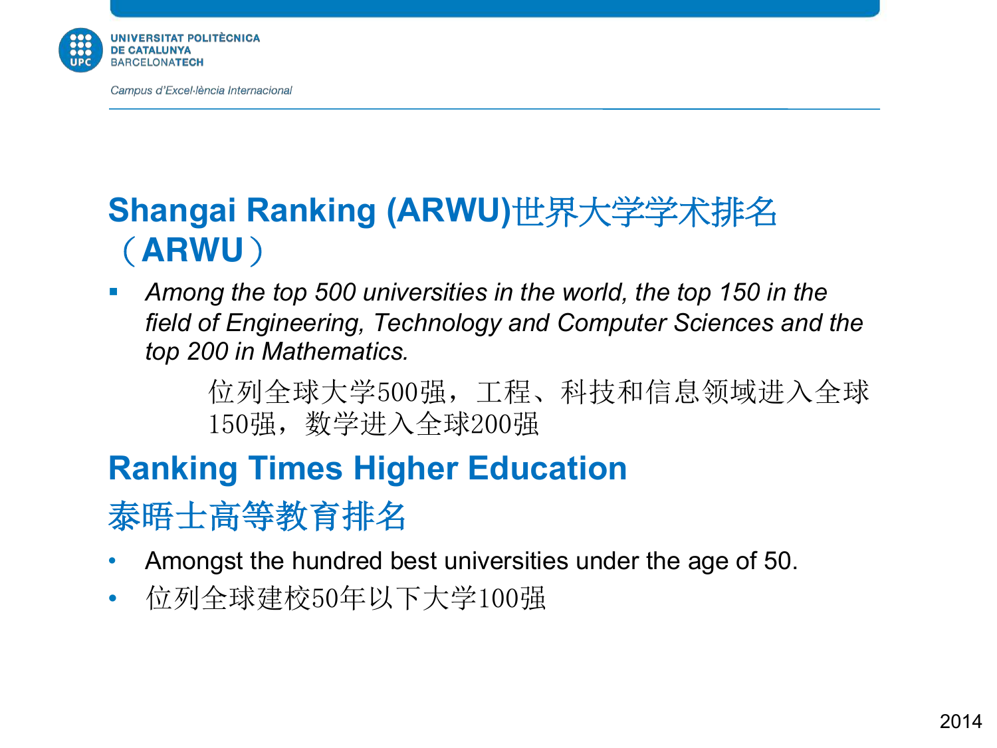

### **Shangai Ranking (ARWU)**世界大学学术排名 (**ARWU**)

§ *Among the top 500 universities in the world, the top 150 in the field of Engineering, Technology and Computer Sciences and the top 200 in Mathematics.*

> 位列全球大学500强,工程、科技和信息领域进入全球 150强,数学进入全球200强

# **Ranking Times Higher Education**

泰晤士高等教育排名

- Amongst the hundred best universities under the age of 50.
- 位列全球建校50年以下大学100强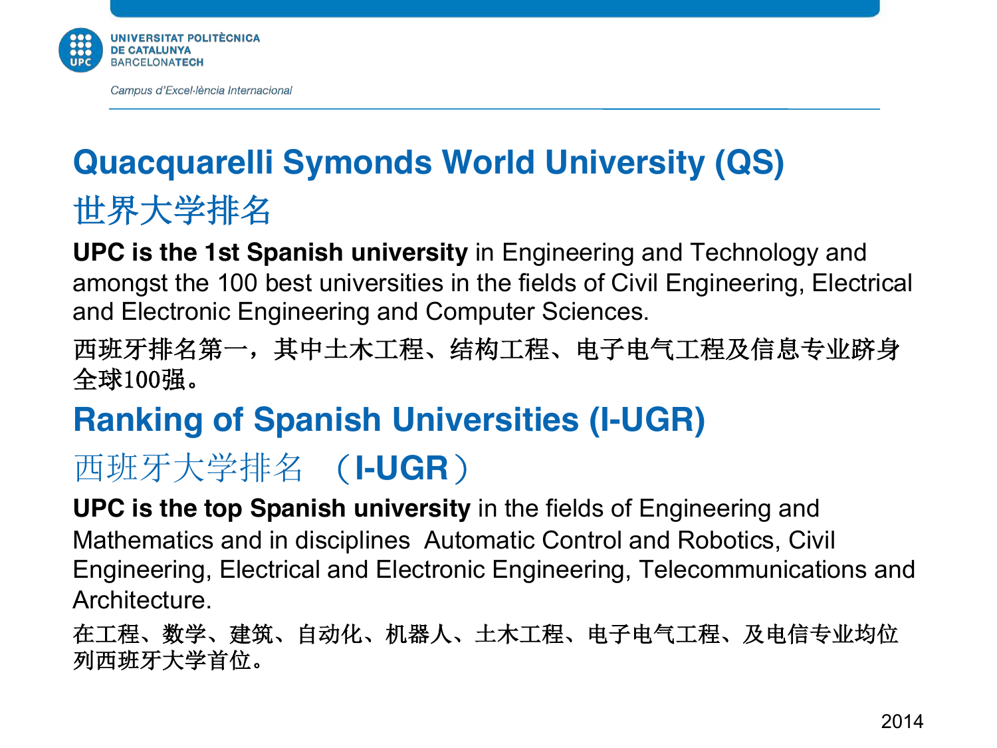

# **Quacquarelli Symonds World University (QS)**

世界大学排名

**UPC is the 1st Spanish university** in Engineering and Technology and amongst the 100 best universities in the fields of Civil Engineering, Electrical and Electronic Engineering and Computer Sciences.

西班牙排名第一,其中土木工程、结构工程、电子电气工程及信息专业跻身 全球100强。

### **Ranking of Spanish Universities (I-UGR)**

# 西班牙大学排名 (**I-UGR**)

**UPC is the top Spanish university** in the fields of Engineering and Mathematics and in disciplines Automatic Control and Robotics, Civil Engineering, Electrical and Electronic Engineering, Telecommunications and Architecture.

在工程、数学、建筑、自动化、机器人、土木工程、电子电气工程、及电信专业均位 列西班牙大学首位。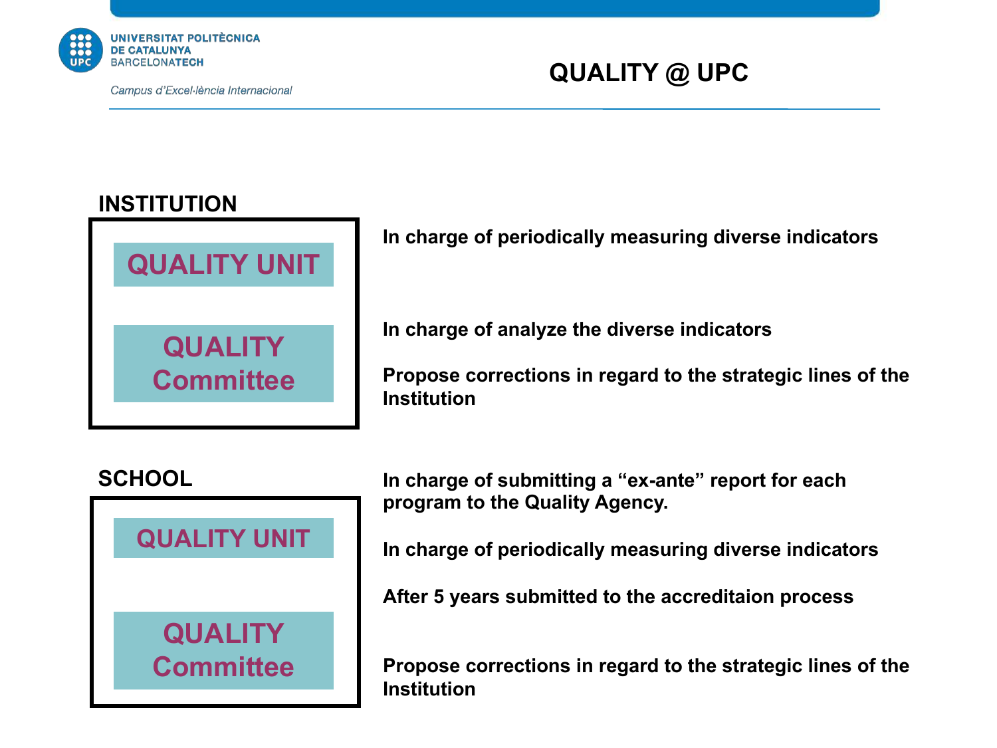

#### **QUALITY @ UPC**

#### **INSTITUTION**



**In charge of periodically measuring diverse indicators**

**In charge of analyze the diverse indicators**

**Propose corrections in regard to the strategic lines of the Institution**

#### **SCHOOL**



**In charge of submitting a "ex-ante" report for each program to the Quality Agency.**

**In charge of periodically measuring diverse indicators**

**After 5 years submitted to the accreditaion process**

**Propose corrections in regard to the strategic lines of the Institution**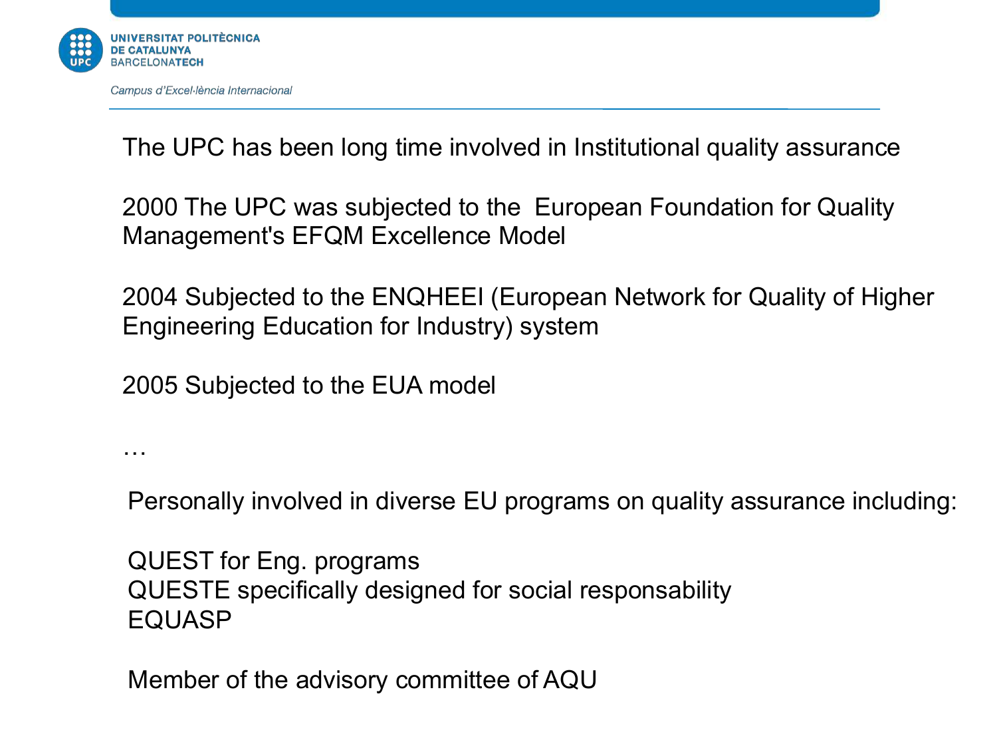

…

The UPC has been long time involved in Institutional quality assurance

2000 The UPC was subjected to the European Foundation for Quality Management's EFQM Excellence Model

2004 Subjected to the ENQHEEI (European Network for Quality of Higher Engineering Education for Industry) system

2005 Subjected to the EUA model

Personally involved in diverse EU programs on quality assurance including:

QUEST for Eng. programs QUESTE specifically designed for social responsability EQUASP

Member of the advisory committee of AQU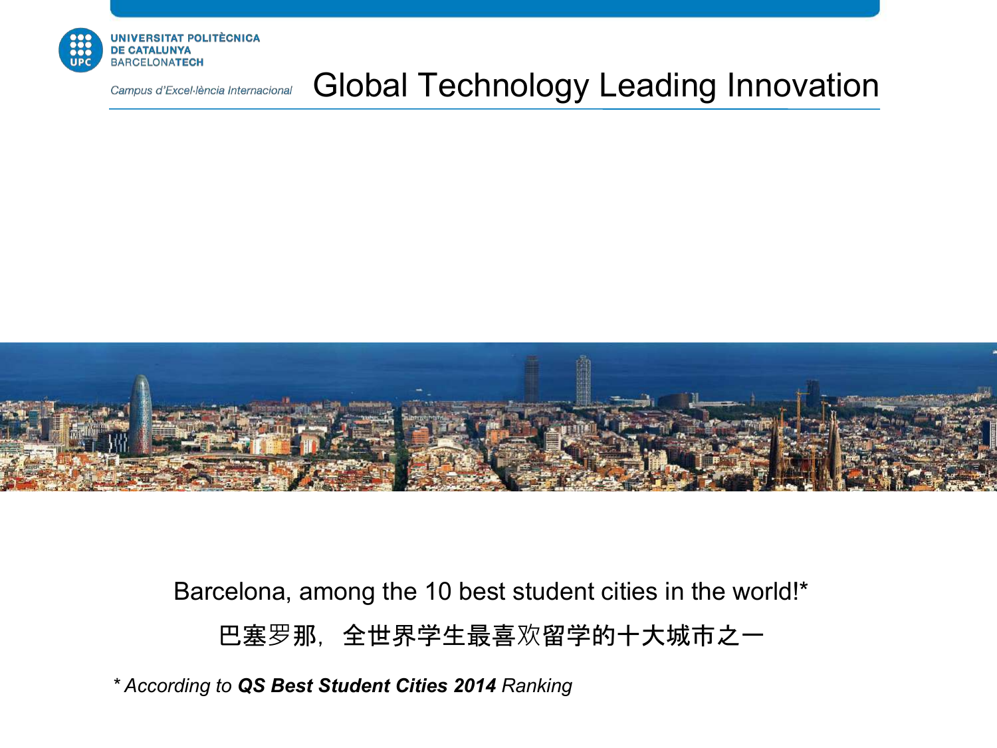

#### Global Technology Leading Innovation



Barcelona, among the 10 best student cities in the world!\*

巴塞罗那,全世界学生最喜欢留学的十大城市之一

*\* According to QS Best Student Cities 2014 Ranking*